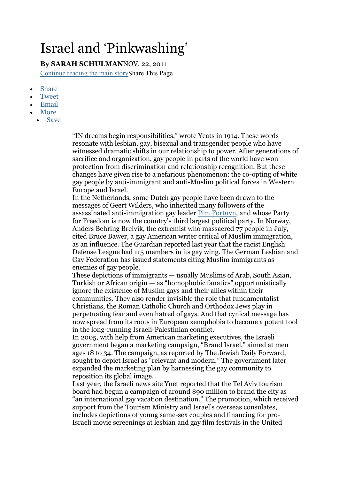## Israel and 'Pinkwashing'

By SARAH SCHULMANNOV. 22, 2011 Continue reading the main storyShare This Page

- Share
- Tweet
- Email
- More
	- Save

"IN dreams begin responsibilities," wrote Yeats in 1914. These words resonate with lesbian, gay, bisexual and transgender people who have witnessed dramatic shifts in our relationship to power. After generations of sacrifice and organization, gay people in parts of the world have won protection from discrimination and relationship recognition. But these changes have given rise to a nefarious phenomenon: the co-opting of white gay people by anti-immigrant and anti-Muslim political forces in Western Europe and Israel.

In the Netherlands, some Dutch gay people have been drawn to the messages of Geert Wilders, who inherited many followers of the assassinated anti-immigration gay leader Pim Fortuyn, and whose Party for Freedom is now the country's third largest political party. In Norway, Anders Behring Breivik, the extremist who massacred 77 people in July, cited Bruce Bawer, a gay American writer critical of Muslim immigration, as an influence. The Guardian reported last year that the racist English Defense League had 115 members in its gay wing. The German Lesbian and Gay Federation has issued statements citing Muslim immigrants as enemies of gay people.

These depictions of immigrants — usually Muslims of Arab, South Asian, Turkish or African origin — as "homophobic fanatics" opportunistically ignore the existence of Muslim gays and their allies within their communities. They also render invisible the role that fundamentalist Christians, the Roman Catholic Church and Orthodox Jews play in perpetuating fear and even hatred of gays. And that cynical message has now spread from its roots in European xenophobia to become a potent tool in the long-running Israeli-Palestinian conflict.

In 2005, with help from American marketing executives, the Israeli government began a marketing campaign, "Brand Israel," aimed at men ages 18 to 34. The campaign, as reported by The Jewish Daily Forward, sought to depict Israel as "relevant and modern." The government later expanded the marketing plan by harnessing the gay community to reposition its global image.

Last year, the Israeli news site Ynet reported that the Tel Aviv tourism board had begun a campaign of around \$90 million to brand the city as "an international gay vacation destination." The promotion, which received support from the Tourism Ministry and Israel's overseas consulates, includes depictions of young same-sex couples and financing for pro-Israeli movie screenings at lesbian and gay film festivals in the United